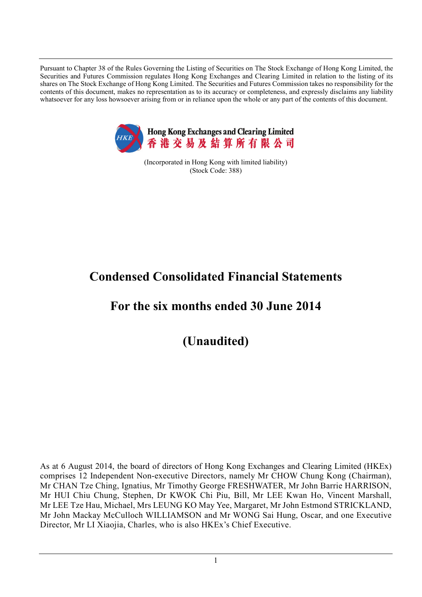Pursuant to Chapter 38 of the Rules Governing the Listing of Securities on The Stock Exchange of Hong Kong Limited, the Securities and Futures Commission regulates Hong Kong Exchanges and Clearing Limited in relation to the listing of its shares on The Stock Exchange of Hong Kong Limited. The Securities and Futures Commission takes no responsibility for the contents of this document, makes no representation as to its accuracy or completeness, and expressly disclaims any liability whatsoever for any loss howsoever arising from or in reliance upon the whole or any part of the contents of this document.



(Incorporated in Hong Kong with limited liability) (Stock Code: 388)

# **Condensed Consolidated Financial Statements**

# **For the six months ended 30 June 2014**

**(Unaudited)**

As at 6 August 2014, the board of directors of Hong Kong Exchanges and Clearing Limited (HKEx) comprises 12 Independent Non-executive Directors, namely Mr CHOW Chung Kong (Chairman), Mr CHAN Tze Ching, Ignatius, Mr Timothy George FRESHWATER, Mr John Barrie HARRISON, Mr HUI Chiu Chung, Stephen, Dr KWOK Chi Piu, Bill, Mr LEE Kwan Ho, Vincent Marshall, Mr LEE Tze Hau, Michael, Mrs LEUNG KO May Yee, Margaret, Mr John Estmond STRICKLAND, Mr John Mackay McCulloch WILLIAMSON and Mr WONG Sai Hung, Oscar, and one Executive Director, Mr LI Xiaojia, Charles, who is also HKEx's Chief Executive.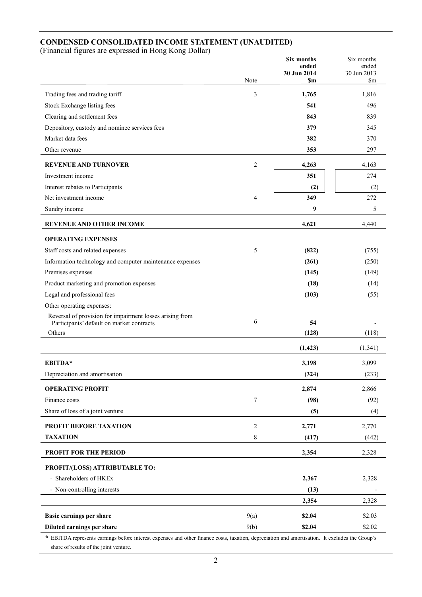## **CONDENSED CONSOLIDATED INCOME STATEMENT (UNAUDITED)**

(Financial figures are expressed in Hong Kong Dollar)

|                                                                                                       |                  | Six months<br>ended | Six months<br>ended |
|-------------------------------------------------------------------------------------------------------|------------------|---------------------|---------------------|
|                                                                                                       |                  | 30 Jun 2014         | 30 Jun 2013         |
|                                                                                                       | Note             | <b>Sm</b>           | \$m                 |
| Trading fees and trading tariff                                                                       | 3                | 1,765               | 1,816               |
| Stock Exchange listing fees                                                                           |                  | 541                 | 496                 |
| Clearing and settlement fees                                                                          |                  | 843                 | 839                 |
| Depository, custody and nominee services fees                                                         |                  | 379                 | 345                 |
| Market data fees                                                                                      |                  | 382                 | 370                 |
| Other revenue                                                                                         |                  | 353                 | 297                 |
| <b>REVENUE AND TURNOVER</b>                                                                           | $\overline{2}$   | 4,263               | 4,163               |
| Investment income                                                                                     |                  | 351                 | 274                 |
| Interest rebates to Participants                                                                      |                  | (2)                 | (2)                 |
| Net investment income                                                                                 | 4                | 349                 | 272                 |
| Sundry income                                                                                         |                  | 9                   | 5                   |
| <b>REVENUE AND OTHER INCOME</b>                                                                       |                  | 4,621               | 4,440               |
| <b>OPERATING EXPENSES</b>                                                                             |                  |                     |                     |
| Staff costs and related expenses                                                                      | 5                | (822)               | (755)               |
| Information technology and computer maintenance expenses                                              |                  | (261)               | (250)               |
| Premises expenses                                                                                     |                  | (145)               | (149)               |
| Product marketing and promotion expenses                                                              |                  | (18)                | (14)                |
| Legal and professional fees                                                                           |                  | (103)               | (55)                |
| Other operating expenses:                                                                             |                  |                     |                     |
| Reversal of provision for impairment losses arising from<br>Participants' default on market contracts | 6                | 54                  |                     |
| Others                                                                                                |                  | (128)               | (118)               |
|                                                                                                       |                  | (1, 423)            | (1, 341)            |
|                                                                                                       |                  |                     |                     |
| EBITDA*                                                                                               |                  | 3,198               | 3,099               |
| Depreciation and amortisation                                                                         |                  | (324)               | (233)               |
| <b>OPERATING PROFIT</b>                                                                               |                  | 2,874               | 2,866               |
| Finance costs                                                                                         | $\boldsymbol{7}$ | (98)                | (92)                |
| Share of loss of a joint venture                                                                      |                  | (5)                 | (4)                 |
| PROFIT BEFORE TAXATION                                                                                | $\sqrt{2}$       | 2,771               | 2,770               |
| <b>TAXATION</b>                                                                                       | 8                | (417)               | (442)               |
| PROFIT FOR THE PERIOD                                                                                 |                  | 2,354               | 2,328               |
| PROFIT/(LOSS) ATTRIBUTABLE TO:                                                                        |                  |                     |                     |
| - Shareholders of HKEx                                                                                |                  | 2,367               | 2,328               |
| - Non-controlling interests                                                                           |                  | (13)                |                     |
|                                                                                                       |                  | 2,354               | 2,328               |
| Basic earnings per share                                                                              | 9(a)             | \$2.04              | \$2.03              |
| Diluted earnings per share                                                                            | 9(b)             | \$2.04              | \$2.02              |
|                                                                                                       |                  |                     |                     |

**\*** EBITDA represents earnings before interest expenses and other finance costs, taxation, depreciation and amortisation. It excludes the Group's share of results of the joint venture.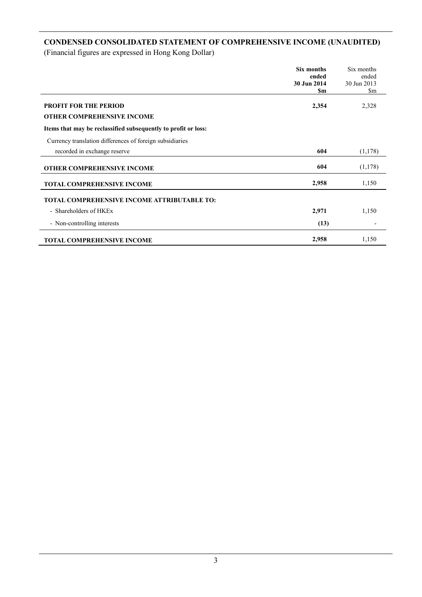## **CONDENSED CONSOLIDATED STATEMENT OF COMPREHENSIVE INCOME (UNAUDITED)**

|                                                                | Six months<br>ended<br>30 Jun 2014<br>\$m | Six months<br>ended<br>30 Jun 2013<br>$\mathop{\mathrm{Sm}}$ |
|----------------------------------------------------------------|-------------------------------------------|--------------------------------------------------------------|
| <b>PROFIT FOR THE PERIOD</b>                                   | 2,354                                     | 2,328                                                        |
| <b>OTHER COMPREHENSIVE INCOME</b>                              |                                           |                                                              |
| Items that may be reclassified subsequently to profit or loss: |                                           |                                                              |
| Currency translation differences of foreign subsidiaries       |                                           |                                                              |
| recorded in exchange reserve                                   | 604                                       | (1,178)                                                      |
| <b>OTHER COMPREHENSIVE INCOME</b>                              | 604                                       | (1,178)                                                      |
| <b>TOTAL COMPREHENSIVE INCOME</b>                              | 2,958                                     | 1,150                                                        |
| <b>TOTAL COMPREHENSIVE INCOME ATTRIBUTABLE TO:</b>             |                                           |                                                              |
| - Shareholders of HKEx                                         | 2,971                                     | 1,150                                                        |
| - Non-controlling interests                                    | (13)                                      |                                                              |
| <b>TOTAL COMPREHENSIVE INCOME</b>                              | 2,958                                     | 1,150                                                        |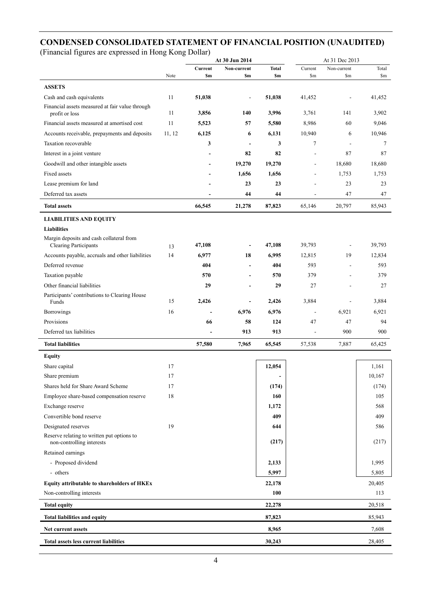## **CONDENSED CONSOLIDATED STATEMENT OF FINANCIAL POSITION (UNAUDITED)**

|                                                                          | At 30 Jun 2014 |                |                          |              | At 31 Dec 2013           |             |                  |
|--------------------------------------------------------------------------|----------------|----------------|--------------------------|--------------|--------------------------|-------------|------------------|
|                                                                          |                | Current        | Non-current              | <b>Total</b> | Current                  | Non-current | Total            |
|                                                                          | Note           | S <sub>m</sub> | \$m                      | \$m          | \$m                      | \$m         | $\mathbb{S}_{m}$ |
| <b>ASSETS</b>                                                            |                |                |                          |              |                          |             |                  |
| Cash and cash equivalents                                                | 11             | 51,038         | $\overline{a}$           | 51,038       | 41,452                   |             | 41,452           |
| Financial assets measured at fair value through<br>profit or loss        | 11             | 3,856          | 140                      | 3,996        | 3,761                    | 141         | 3,902            |
| Financial assets measured at amortised cost                              | 11             | 5,523          | 57                       | 5,580        | 8,986                    | 60          | 9,046            |
| Accounts receivable, prepayments and deposits                            | 11, 12         | 6,125          | 6                        | 6,131        | 10,940                   | 6           | 10,946           |
| Taxation recoverable                                                     |                | 3              | $\overline{\phantom{a}}$ | 3            | 7                        |             | 7                |
| Interest in a joint venture                                              |                |                | 82                       | 82           |                          | 87          | 87               |
| Goodwill and other intangible assets                                     |                |                | 19,270                   | 19,270       | $\overline{\phantom{a}}$ | 18,680      | 18,680           |
| Fixed assets                                                             |                |                | 1,656                    | 1,656        |                          | 1,753       | 1,753            |
| Lease premium for land                                                   |                |                | 23                       | 23           |                          | 23          | 23               |
| Deferred tax assets                                                      |                |                | 44                       | 44           |                          | 47          | 47               |
| <b>Total assets</b>                                                      |                | 66,545         | 21,278                   | 87,823       | 65,146                   | 20,797      | 85,943           |
| <b>LIABILITIES AND EQUITY</b>                                            |                |                |                          |              |                          |             |                  |
| <b>Liabilities</b>                                                       |                |                |                          |              |                          |             |                  |
| Margin deposits and cash collateral from<br><b>Clearing Participants</b> | 13             | 47,108         |                          | 47,108       | 39,793                   |             | 39,793           |
| Accounts payable, accruals and other liabilities                         | 14             | 6,977          | 18                       | 6,995        | 12,815                   | 19          | 12,834           |
| Deferred revenue                                                         |                | 404            |                          | 404          | 593                      |             | 593              |
| Taxation payable                                                         |                | 570            |                          | 570          | 379                      |             | 379              |
| Other financial liabilities                                              |                | 29             | ٠                        | 29           | 27                       |             | 27               |
| Participants' contributions to Clearing House                            |                |                |                          |              |                          |             |                  |
| Funds                                                                    | 15             | 2,426          | ٠                        | 2,426        | 3,884                    |             | 3,884            |
| Borrowings                                                               | 16             |                | 6,976                    | 6,976        | $\overline{\phantom{a}}$ | 6,921       | 6,921            |
| Provisions                                                               |                | 66             | 58                       | 124          | 47                       | 47          | 94               |
| Deferred tax liabilities                                                 |                | $\overline{a}$ | 913                      | 913          | $\overline{a}$           | 900         | 900              |
| <b>Total liabilities</b>                                                 |                | 57,580         | 7,965                    | 65,545       | 57,538                   | 7,887       | 65,425           |
| <b>Equity</b>                                                            |                |                |                          |              |                          |             |                  |
| Share capital                                                            | 17             |                |                          | 12,054       |                          |             | 1,161            |
| Share premium                                                            | 17             |                |                          |              |                          |             | 10,167           |
| Shares held for Share Award Scheme                                       | 17             |                |                          | (174)        |                          |             | (174)            |
| Employee share-based compensation reserve                                | 18             |                |                          | 160          |                          |             | 105              |
| Exchange reserve                                                         |                |                |                          | 1,172        |                          |             | 568              |
| Convertible bond reserve                                                 |                |                |                          | 409          |                          |             | 409              |
| Designated reserves                                                      | 19             |                |                          | 644          |                          |             | 586              |
| Reserve relating to written put options to<br>non-controlling interests  |                |                |                          | (217)        |                          |             | (217)            |
| Retained earnings                                                        |                |                |                          |              |                          |             |                  |
| - Proposed dividend                                                      |                |                |                          | 2,133        |                          |             | 1,995            |
| - others                                                                 |                |                |                          | 5,997        |                          |             | 5,805            |
| Equity attributable to shareholders of HKEx                              |                |                |                          | 22,178       |                          |             | 20,405           |
| Non-controlling interests                                                |                |                |                          | 100          |                          |             | 113              |
| <b>Total equity</b>                                                      |                |                |                          | 22,278       |                          |             | 20,518           |
| <b>Total liabilities and equity</b>                                      |                |                |                          | 87,823       |                          |             | 85,943           |
| Net current assets                                                       |                |                |                          | 8,965        |                          |             | 7,608            |
| <b>Total assets less current liabilities</b>                             |                |                |                          | 30,243       |                          |             | 28,405           |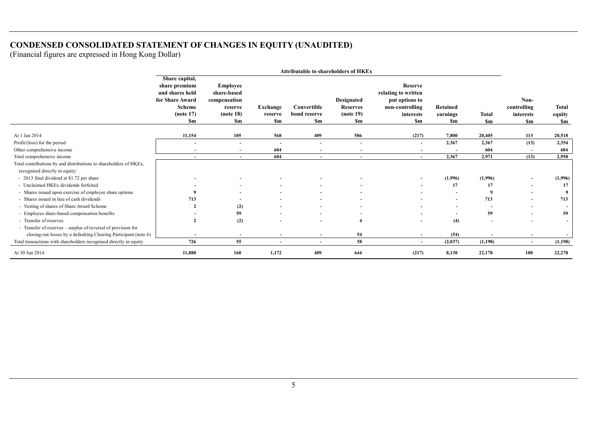## **CONDENSED CONSOLIDATED STATEMENT OF CHANGES IN EQUITY (UNAUDITED)**

| <b>Attributable to shareholders of HKEx</b>                                                         |                                                                                                                  |                                                                       |                            |                                          |                                                          |                                                                                               |                            |                           |                                               |                              |
|-----------------------------------------------------------------------------------------------------|------------------------------------------------------------------------------------------------------------------|-----------------------------------------------------------------------|----------------------------|------------------------------------------|----------------------------------------------------------|-----------------------------------------------------------------------------------------------|----------------------------|---------------------------|-----------------------------------------------|------------------------------|
|                                                                                                     | Share capital,<br>share premium<br>and shares held<br>for Share Award<br><b>Scheme</b><br>(note 17)<br><b>Sm</b> | Employee<br>share-based<br>compensation<br>reserve<br>(note 18)<br>Sm | Exchange<br>reserve<br>\$m | Convertible<br>bond reserve<br><b>Sm</b> | <b>Designated</b><br><b>Reserves</b><br>(note 19)<br>\$m | Reserve<br>relating to written<br>put options to<br>non-controlling<br>interests<br><b>Sm</b> | Retained<br>earnings<br>Sm | <b>Total</b><br><b>Sm</b> | Non-<br>controlling<br>interests<br><b>Sm</b> | Total<br>equity<br><b>Sm</b> |
| At 1 Jan 2014                                                                                       | 11,154                                                                                                           | 105                                                                   | 568                        | 409                                      | 586                                                      | (217)                                                                                         | 7,800                      | 20,405                    | 113                                           | 20,518                       |
| Profit/(loss) for the period                                                                        |                                                                                                                  |                                                                       |                            | $\sim$                                   | $\overline{\phantom{a}}$                                 | $\overline{\phantom{a}}$                                                                      | 2,367                      | 2,367                     | (13)                                          | 2,354                        |
| Other comprehensive income                                                                          | $\overline{\phantom{a}}$                                                                                         | $\overline{\phantom{a}}$                                              | 604                        | $\sim$                                   | $\overline{\phantom{a}}$                                 | $\overline{\phantom{a}}$                                                                      | $\overline{\phantom{a}}$   | 604                       | $\overline{a}$                                | 604                          |
| Total comprehensive income                                                                          | $\overline{\phantom{a}}$                                                                                         | $\overline{a}$                                                        | 604                        | $\sim$                                   | $\overline{\phantom{a}}$                                 | $\sim$                                                                                        | 2,367                      | 2,971                     | (13)                                          | 2,958                        |
| Total contributions by and distributions to shareholders of HKEx,<br>recognised directly in equity: |                                                                                                                  |                                                                       |                            |                                          |                                                          |                                                                                               |                            |                           |                                               |                              |
| - 2013 final dividend at \$1.72 per share                                                           |                                                                                                                  |                                                                       |                            |                                          |                                                          |                                                                                               | (1,996)                    | (1,996)                   |                                               | (1,996)                      |
| - Unclaimed HKEx dividends forfeited                                                                |                                                                                                                  |                                                                       |                            | $\sim$                                   | $\overline{\phantom{a}}$                                 |                                                                                               | 17                         | 17                        | $\blacksquare$                                | 17                           |
| - Shares issued upon exercise of employee share options                                             |                                                                                                                  |                                                                       |                            |                                          |                                                          |                                                                                               | $\overline{\phantom{a}}$   |                           | $\blacksquare$                                |                              |
| - Shares issued in lieu of cash dividends                                                           | 713                                                                                                              |                                                                       |                            |                                          |                                                          |                                                                                               | $\sim$                     | 713                       | $\overline{\phantom{a}}$                      | 713                          |
| - Vesting of shares of Share Award Scheme                                                           |                                                                                                                  | (2)                                                                   |                            |                                          |                                                          |                                                                                               | $\sim$                     |                           | $\overline{\phantom{a}}$                      |                              |
| - Employee share-based compensation benefits                                                        |                                                                                                                  | 59                                                                    |                            | $\sim$                                   |                                                          |                                                                                               | $\sim$                     | 59                        | $\blacksquare$                                | 59                           |
| - Transfer of reserves                                                                              |                                                                                                                  | (2)                                                                   |                            |                                          |                                                          | $\overline{\phantom{0}}$                                                                      | (4)                        |                           | $\overline{\phantom{0}}$                      | $\overline{\phantom{a}}$     |
| - Transfer of reserves – surplus of reversal of provision for                                       |                                                                                                                  |                                                                       |                            |                                          |                                                          |                                                                                               |                            |                           |                                               |                              |
| closing-out losses by a defaulting Clearing Participant (note 6)                                    |                                                                                                                  |                                                                       |                            |                                          | 54                                                       |                                                                                               | (54)                       |                           |                                               |                              |
| Total transactions with shareholders recognised directly in equity                                  | 726                                                                                                              | 55                                                                    |                            |                                          | 58                                                       | $\overline{\phantom{a}}$                                                                      | (2,037)                    | (1, 198)                  | $\sim$                                        | (1, 198)                     |
| At 30 Jun 2014                                                                                      | 11.880                                                                                                           | 160                                                                   | 1,172                      | 409                                      | 644                                                      | (217)                                                                                         | 8,130                      | 22,178                    | 100                                           | 22,278                       |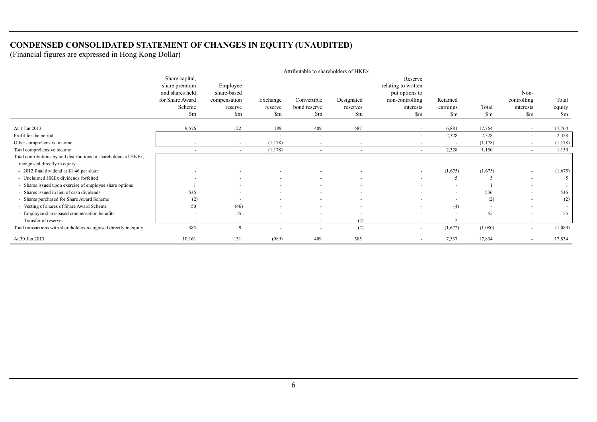## **CONDENSED CONSOLIDATED STATEMENT OF CHANGES IN EQUITY (UNAUDITED)**

|                                                                                                     |                                                    |                          |                          | Attributable to shareholders of HKEx |                          |                                                  |                          |                          |                          |                          |
|-----------------------------------------------------------------------------------------------------|----------------------------------------------------|--------------------------|--------------------------|--------------------------------------|--------------------------|--------------------------------------------------|--------------------------|--------------------------|--------------------------|--------------------------|
|                                                                                                     | Share capital,<br>share premium<br>and shares held | Employee<br>share-based  |                          |                                      |                          | Reserve<br>relating to written<br>put options to |                          |                          | Non-                     |                          |
|                                                                                                     | for Share Award                                    | compensation             | Exchange                 | Convertible                          | Designated               | non-controlling                                  | Retained                 |                          | controlling              | Total                    |
|                                                                                                     | Scheme                                             | reserve                  | reserve                  | bond reserve                         | reserves                 | interests                                        | earnings                 | Total                    | interests                | equity                   |
|                                                                                                     | $\mathop{\mathrm{Sm}}$                             | $\mathop{\mathrm{Sm}}$   | $\mathbf{Sm}$            | \$m                                  | $\mathbf{Sm}$            | \$m                                              | \$m                      | $\mathop{\mathrm{Sm}}$   | $\mathop{\mathrm{Sm}}$   | \$m                      |
| At 1 Jan 2013                                                                                       | 9,576                                              | 122                      | 189                      | 409                                  | 587                      | $\overline{\phantom{a}}$                         | 6,881                    | 17,764                   | ٠                        | 17,764                   |
| Profit for the period                                                                               | $\overline{\phantom{a}}$                           | $\sim$                   | $\overline{\phantom{a}}$ | $\sim$                               | $\overline{\phantom{a}}$ | $\overline{\phantom{a}}$                         | 2,328                    | 2,328                    | $\overline{\phantom{a}}$ | 2,328                    |
| Other comprehensive income                                                                          | $\overline{\phantom{0}}$                           | $\overline{\phantom{a}}$ | (1,178)                  | $\sim$                               | $\overline{\phantom{a}}$ | $\overline{\phantom{a}}$                         |                          | (1,178)                  |                          | (1,178)                  |
| Total comprehensive income                                                                          | $\overline{\phantom{0}}$                           | $\sim$                   | (1, 178)                 | $\sim$                               | $\sim$                   | $\overline{\phantom{a}}$                         | 2,328                    | 1,150                    | $\sim$                   | 1,150                    |
| Total contributions by and distributions to shareholders of HKEx,<br>recognised directly in equity: |                                                    |                          |                          |                                      |                          |                                                  |                          |                          |                          |                          |
| - 2012 final dividend at \$1.46 per share                                                           |                                                    |                          |                          |                                      |                          | $\overline{\phantom{a}}$                         | (1,675)                  | (1,675)                  | ٠                        | (1,675)                  |
| - Unclaimed HKEx dividends forfeited                                                                |                                                    |                          |                          |                                      |                          |                                                  |                          |                          | $\overline{\phantom{a}}$ |                          |
| - Shares issued upon exercise of employee share options                                             |                                                    |                          |                          |                                      | $\overline{a}$           |                                                  |                          |                          | ٠                        |                          |
| - Shares issued in lieu of cash dividends                                                           | 536                                                |                          |                          |                                      |                          |                                                  | $\overline{\phantom{a}}$ | 536                      | ٠                        | 536                      |
| - Shares purchased for Share Award Scheme                                                           | (2)                                                | $\overline{\phantom{a}}$ |                          | $\sim$                               | $\overline{\phantom{a}}$ | $\overline{\phantom{a}}$                         | $\overline{\phantom{a}}$ | (2)                      | $\overline{\phantom{a}}$ | (2)                      |
| - Vesting of shares of Share Award Scheme                                                           | 50                                                 | (46)                     |                          | $\sim$                               | $\overline{a}$           | $\overline{a}$                                   | (4)                      | $\overline{\phantom{a}}$ | $\overline{\phantom{a}}$ | $\overline{\phantom{a}}$ |
| - Employee share-based compensation benefits                                                        | $\sim$                                             | 55                       |                          | $\overline{\phantom{a}}$             | $\overline{\phantom{a}}$ | $\overline{\phantom{a}}$                         |                          | 55                       | ٠                        | 55                       |
| - Transfer of reserves                                                                              | $\sim$                                             | $\overline{\phantom{a}}$ | ٠                        | $\sim$                               | (2)                      | $\overline{\phantom{a}}$                         |                          | $\sim$                   | $\overline{\phantom{a}}$ | $\overline{\phantom{a}}$ |
| Total transactions with shareholders recognised directly in equity                                  | 585                                                | 9                        | $\overline{\phantom{a}}$ | $\sim$                               | (2)                      | $\overline{\phantom{a}}$                         | (1,672)                  | (1,080)                  | $\overline{\phantom{a}}$ | (1,080)                  |
| At 30 Jun 2013                                                                                      | 10,161                                             | 131                      | (989)                    | 409                                  | 585                      | $\overline{\phantom{a}}$                         | 7,537                    | 17,834                   | ٠                        | 17,834                   |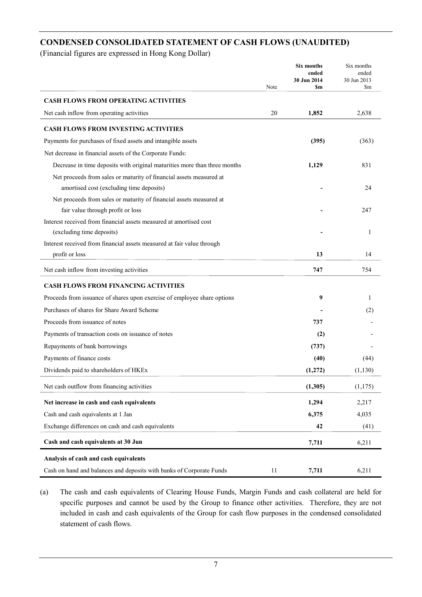## **CONDENSED CONSOLIDATED STATEMENT OF CASH FLOWS (UNAUDITED)**

(Financial figures are expressed in Hong Kong Dollar)

|                                                                                                               | Note | <b>Six months</b><br>ended<br>30 Jun 2014<br>Sm | Six months<br>ended<br>30 Jun 2013<br>\$m |
|---------------------------------------------------------------------------------------------------------------|------|-------------------------------------------------|-------------------------------------------|
| <b>CASH FLOWS FROM OPERATING ACTIVITIES</b>                                                                   |      |                                                 |                                           |
| Net cash inflow from operating activities                                                                     | 20   | 1,852                                           | 2,638                                     |
|                                                                                                               |      |                                                 |                                           |
| <b>CASH FLOWS FROM INVESTING ACTIVITIES</b>                                                                   |      |                                                 |                                           |
| Payments for purchases of fixed assets and intangible assets                                                  |      | (395)                                           | (363)                                     |
| Net decrease in financial assets of the Corporate Funds:                                                      |      |                                                 |                                           |
| Decrease in time deposits with original maturities more than three months                                     |      | 1,129                                           | 831                                       |
| Net proceeds from sales or maturity of financial assets measured at                                           |      |                                                 |                                           |
| amortised cost (excluding time deposits)                                                                      |      |                                                 | 24                                        |
| Net proceeds from sales or maturity of financial assets measured at                                           |      |                                                 |                                           |
| fair value through profit or loss                                                                             |      |                                                 | 247                                       |
| Interest received from financial assets measured at amortised cost                                            |      |                                                 |                                           |
| (excluding time deposits)                                                                                     |      |                                                 | 1                                         |
| Interest received from financial assets measured at fair value through                                        |      |                                                 |                                           |
| profit or loss                                                                                                |      | 13                                              | 14                                        |
| Net cash inflow from investing activities                                                                     |      | 747                                             | 754                                       |
| <b>CASH FLOWS FROM FINANCING ACTIVITIES</b>                                                                   |      |                                                 |                                           |
| Proceeds from issuance of shares upon exercise of employee share options                                      |      | 9                                               | 1                                         |
| Purchases of shares for Share Award Scheme                                                                    |      |                                                 | (2)                                       |
| Proceeds from issuance of notes                                                                               |      | 737                                             |                                           |
| Payments of transaction costs on issuance of notes                                                            |      | (2)                                             |                                           |
| Repayments of bank borrowings                                                                                 |      | (737)                                           |                                           |
| Payments of finance costs                                                                                     |      | (40)                                            | (44)                                      |
| Dividends paid to shareholders of HKEx                                                                        |      | (1,272)                                         | (1,130)                                   |
| Net cash outflow from financing activities                                                                    |      | (1,305)                                         | (1, 175)                                  |
| Net increase in cash and cash equivalents                                                                     |      | 1,294                                           | 2,217                                     |
| Cash and cash equivalents at 1 Jan                                                                            |      | 6,375                                           | 4,035                                     |
| Exchange differences on cash and cash equivalents                                                             |      | 42                                              | (41)                                      |
| Cash and cash equivalents at 30 Jun                                                                           |      | 7,711                                           | 6,211                                     |
|                                                                                                               |      |                                                 |                                           |
| Analysis of cash and cash equivalents<br>Cash on hand and balances and deposits with banks of Corporate Funds | 11   | 7,711                                           | 6,211                                     |
|                                                                                                               |      |                                                 |                                           |

(a) The cash and cash equivalents of Clearing House Funds, Margin Funds and cash collateral are held for specific purposes and cannot be used by the Group to finance other activities. Therefore, they are not included in cash and cash equivalents of the Group for cash flow purposes in the condensed consolidated statement of cash flows.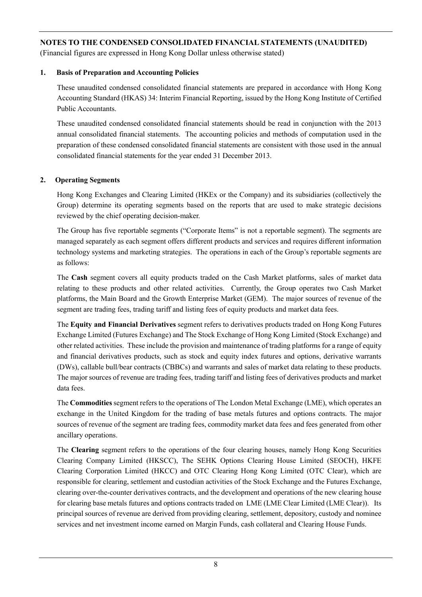(Financial figures are expressed in Hong Kong Dollar unless otherwise stated)

#### **1. Basis of Preparation and Accounting Policies**

These unaudited condensed consolidated financial statements are prepared in accordance with Hong Kong Accounting Standard (HKAS) 34: Interim Financial Reporting, issued by the Hong Kong Institute of Certified Public Accountants.

These unaudited condensed consolidated financial statements should be read in conjunction with the 2013 annual consolidated financial statements. The accounting policies and methods of computation used in the preparation of these condensed consolidated financial statements are consistent with those used in the annual consolidated financial statements for the year ended 31 December 2013.

## **2. Operating Segments**

Hong Kong Exchanges and Clearing Limited (HKEx or the Company) and its subsidiaries (collectively the Group) determine its operating segments based on the reports that are used to make strategic decisions reviewed by the chief operating decision-maker.

The Group has five reportable segments ("Corporate Items" is not a reportable segment). The segments are managed separately as each segment offers different products and services and requires different information technology systems and marketing strategies. The operations in each of the Group's reportable segments are as follows:

The **Cash** segment covers all equity products traded on the Cash Market platforms, sales of market data relating to these products and other related activities. Currently, the Group operates two Cash Market platforms, the Main Board and the Growth Enterprise Market (GEM). The major sources of revenue of the segment are trading fees, trading tariff and listing fees of equity products and market data fees.

The **Equity and Financial Derivatives** segment refers to derivatives products traded on Hong Kong Futures Exchange Limited (Futures Exchange) and The Stock Exchange of Hong Kong Limited (Stock Exchange) and other related activities. These include the provision and maintenance of trading platforms for a range of equity and financial derivatives products, such as stock and equity index futures and options, derivative warrants (DWs), callable bull/bear contracts (CBBCs) and warrants and sales of market data relating to these products. The major sources of revenue are trading fees, trading tariff and listing fees of derivatives products and market data fees.

The **Commodities** segment refers to the operations of The London Metal Exchange (LME), which operates an exchange in the United Kingdom for the trading of base metals futures and options contracts. The major sources of revenue of the segment are trading fees, commodity market data fees and fees generated from other ancillary operations.

The **Clearing** segment refers to the operations of the four clearing houses, namely Hong Kong Securities Clearing Company Limited (HKSCC), The SEHK Options Clearing House Limited (SEOCH), HKFE Clearing Corporation Limited (HKCC) and OTC Clearing Hong Kong Limited (OTC Clear), which are responsible for clearing, settlement and custodian activities of the Stock Exchange and the Futures Exchange, clearing over-the-counter derivatives contracts, and the development and operations of the new clearing house for clearing base metals futures and options contracts traded on LME (LME Clear Limited (LME Clear)). Its principal sources of revenue are derived from providing clearing, settlement, depository, custody and nominee services and net investment income earned on Margin Funds, cash collateral and Clearing House Funds.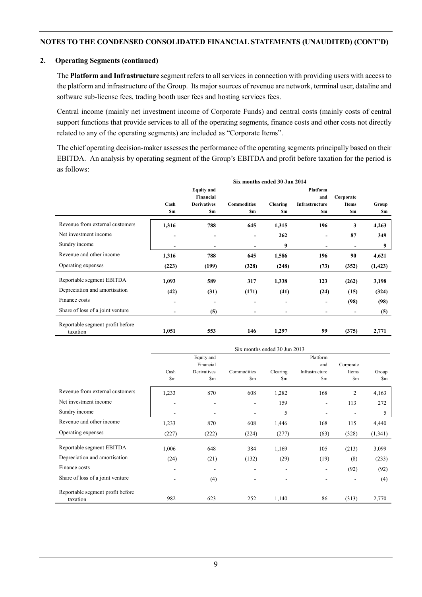#### **2. Operating Segments (continued)**

The **Platform and Infrastructure** segment refers to all services in connection with providing users with access to the platform and infrastructure of the Group. Its major sources of revenue are network, terminal user, dataline and software sub-license fees, trading booth user fees and hosting services fees.

Central income (mainly net investment income of Corporate Funds) and central costs (mainly costs of central support functions that provide services to all of the operating segments, finance costs and other costs not directly related to any of the operating segments) are included as "Corporate Items".

The chief operating decision-maker assesses the performance of the operating segments principally based on their EBITDA. An analysis by operating segment of the Group's EBITDA and profit before taxation for the period is as follows:

|                                  | Six months ended 30 Jun 2014 |                          |                    |                          |                          |                          |          |
|----------------------------------|------------------------------|--------------------------|--------------------|--------------------------|--------------------------|--------------------------|----------|
|                                  |                              | <b>Equity</b> and        |                    |                          | <b>Platform</b>          |                          |          |
|                                  |                              | Financial                |                    |                          | and                      | Corporate                |          |
|                                  | Cash                         | <b>Derivatives</b>       | <b>Commodities</b> | <b>Clearing</b>          | Infrastructure           | <b>Items</b>             | Group    |
|                                  | <b>Sm</b>                    | <b>Sm</b>                | S <sub>m</sub>     | \$m                      | \$m                      | <b>Sm</b>                | \$m      |
| Revenue from external customers  | 1,316                        | 788                      | 645                | 1,315                    | 196                      | 3                        | 4,263    |
| Net investment income            | ٠                            | $\overline{\phantom{a}}$ | -                  | 262                      | -                        | 87                       | 349      |
| Sundry income                    | $\overline{\phantom{a}}$     | $\overline{\phantom{0}}$ | ٠                  | 9                        | -                        |                          | 9        |
| Revenue and other income         | 1,316                        | 788                      | 645                | 1,586                    | 196                      | 90                       | 4,621    |
| Operating expenses               | (223)                        | (199)                    | (328)              | (248)                    | (73)                     | (352)                    | (1, 423) |
| Reportable segment EBITDA        | 1,093                        | 589                      | 317                | 1,338                    | 123                      | (262)                    | 3,198    |
| Depreciation and amortisation    | (42)                         | (31)                     | (171)              | (41)                     | (24)                     | (15)                     | (324)    |
| Finance costs                    | ٠                            | $\overline{\phantom{0}}$ | -                  | $\overline{\phantom{a}}$ | $\overline{\phantom{a}}$ | (98)                     | (98)     |
| Share of loss of a joint venture | -                            | (5)                      | -                  | ٠                        | -                        | $\overline{\phantom{a}}$ | (5)      |
| Reportable segment profit before |                              |                          |                    |                          |                          |                          |          |
| taxation                         | 1,051                        | 553                      | 146                | 1,297                    | 99                       | (375)                    | 2,771    |

|                                              | Six months ended 30 Jun 2013 |                          |                          |                          |                          |                              |         |
|----------------------------------------------|------------------------------|--------------------------|--------------------------|--------------------------|--------------------------|------------------------------|---------|
|                                              |                              | Equity and<br>Financial  |                          |                          | Platform<br>and          | Corporate                    |         |
|                                              | Cash                         | Derivatives              | Commodities              | Clearing                 | Infrastructure           | Items                        | Group   |
|                                              | \$m                          | $\mathbf{Sm}$            | $\mathbb{S}_{m}$         | \$m                      | $\mathbf{Sm}$            | $\mathbb{S}_{m}$             | Sm      |
| Revenue from external customers              | 1,233                        | 870                      | 608                      | 1,282                    | 168                      | $\overline{2}$               | 4,163   |
| Net investment income                        | $\overline{a}$               | $\overline{\phantom{a}}$ | $\overline{\phantom{a}}$ | 159                      | $\overline{\phantom{a}}$ | 113                          | 272     |
| Sundry income                                | ٠                            | ۰                        | $\overline{\phantom{a}}$ | 5                        | $\blacksquare$           |                              | 5       |
| Revenue and other income                     | 1,233                        | 870                      | 608                      | 1,446                    | 168                      | 115                          | 4,440   |
| Operating expenses                           | (227)                        | (222)                    | (224)                    | (277)                    | (63)                     | (328)                        | (1,341) |
| Reportable segment EBITDA                    | 1,006                        | 648                      | 384                      | 1,169                    | 105                      | (213)                        | 3,099   |
| Depreciation and amortisation                | (24)                         | (21)                     | (132)                    | (29)                     | (19)                     | (8)                          | (233)   |
| Finance costs                                | ٠                            | $\overline{\phantom{a}}$ | $\overline{\phantom{a}}$ | $\overline{\phantom{a}}$ | $\overline{\phantom{a}}$ | (92)                         | (92)    |
| Share of loss of a joint venture             | $\overline{a}$               | (4)                      | $\overline{\phantom{a}}$ | $\overline{a}$           |                          | $\qquad \qquad \blacksquare$ | (4)     |
| Reportable segment profit before<br>taxation | 982                          | 623                      | 252                      | 1,140                    | 86                       | (313)                        | 2,770   |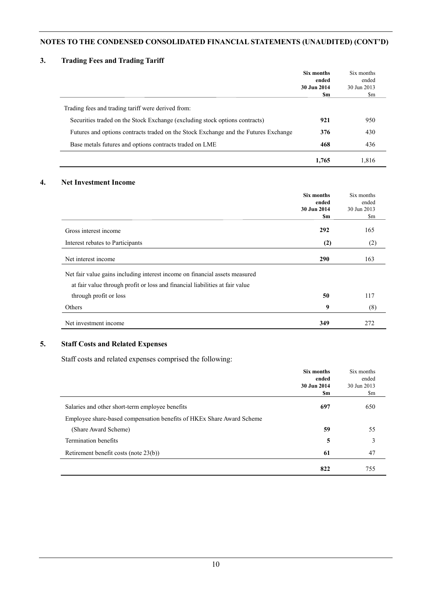## **3. Trading Fees and Trading Tariff**

|                                                                                     | Six months<br>ended | Six months<br>ended |
|-------------------------------------------------------------------------------------|---------------------|---------------------|
|                                                                                     | 30 Jun 2014<br>Sm   | 30 Jun 2013<br>\$m  |
| Trading fees and trading tariff were derived from:                                  |                     |                     |
| Securities traded on the Stock Exchange (excluding stock options contracts)         | 921                 | 950                 |
| Futures and options contracts traded on the Stock Exchange and the Futures Exchange | 376                 | 430                 |
| Base metals futures and options contracts traded on LME                             | 468                 | 436                 |
|                                                                                     | 1.765               | 1,816               |

#### **4. Net Investment Income**

|                                                                              | <b>Six months</b><br>ended<br>30 Jun 2014<br>\$m | Six months<br>ended<br>30 Jun 2013<br>$\mathbb{S}_{m}$ |
|------------------------------------------------------------------------------|--------------------------------------------------|--------------------------------------------------------|
| Gross interest income                                                        | 292                                              | 165                                                    |
| Interest rebates to Participants                                             | (2)                                              | (2)                                                    |
| Net interest income                                                          | 290                                              | 163                                                    |
| Net fair value gains including interest income on financial assets measured  |                                                  |                                                        |
| at fair value through profit or loss and financial liabilities at fair value |                                                  |                                                        |
| through profit or loss                                                       | 50                                               | 117                                                    |
| Others                                                                       | 9                                                | (8)                                                    |
| Net investment income                                                        | 349                                              | 272                                                    |

## **5. Staff Costs and Related Expenses**

Staff costs and related expenses comprised the following:

|                                                                       | Six months<br>ended<br>30 Jun 2014<br>\$m | Six months<br>ended<br>30 Jun 2013<br>\$m |
|-----------------------------------------------------------------------|-------------------------------------------|-------------------------------------------|
| Salaries and other short-term employee benefits                       | 697                                       | 650                                       |
| Employee share-based compensation benefits of HKEx Share Award Scheme |                                           |                                           |
| (Share Award Scheme)                                                  | 59                                        | 55                                        |
| Termination benefits                                                  | 5                                         | 3                                         |
| Retirement benefit costs (note 23(b))                                 | -61                                       | 47                                        |
|                                                                       | 822                                       | 755                                       |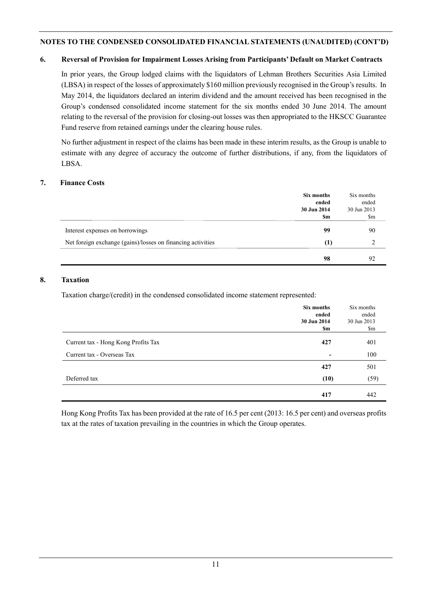#### **6. Reversal of Provision for Impairment Losses Arising from Participants' Default on Market Contracts**

In prior years, the Group lodged claims with the liquidators of Lehman Brothers Securities Asia Limited (LBSA) in respect of the losses of approximately \$160 million previously recognised in the Group's results. In May 2014, the liquidators declared an interim dividend and the amount received has been recognised in the Group's condensed consolidated income statement for the six months ended 30 June 2014. The amount relating to the reversal of the provision for closing-out losses was then appropriated to the HKSCC Guarantee Fund reserve from retained earnings under the clearing house rules.

No further adjustment in respect of the claims has been made in these interim results, as the Group is unable to estimate with any degree of accuracy the outcome of further distributions, if any, from the liquidators of LBSA.

#### **7. Finance Costs**

|                                                             | Six months<br>ended<br>30 Jun 2014<br>\$m | Six months<br>ended<br>30 Jun 2013<br>\$m |
|-------------------------------------------------------------|-------------------------------------------|-------------------------------------------|
| Interest expenses on borrowings                             | 99                                        | 90                                        |
| Net foreign exchange (gains)/losses on financing activities | (1)                                       |                                           |
|                                                             | 98                                        | 92                                        |

#### **8. Taxation**

Taxation charge/(credit) in the condensed consolidated income statement represented:

|                                     | Six months  | Six months  |
|-------------------------------------|-------------|-------------|
|                                     | ended       | ended       |
|                                     | 30 Jun 2014 | 30 Jun 2013 |
|                                     | \$m         | \$m         |
| Current tax - Hong Kong Profits Tax | 427         | 401         |
| Current tax - Overseas Tax          |             | 100         |
|                                     | 427         | 501         |
| Deferred tax                        | (10)        | (59)        |
|                                     | 417         | 442         |

Hong Kong Profits Tax has been provided at the rate of 16.5 per cent (2013: 16.5 per cent) and overseas profits tax at the rates of taxation prevailing in the countries in which the Group operates.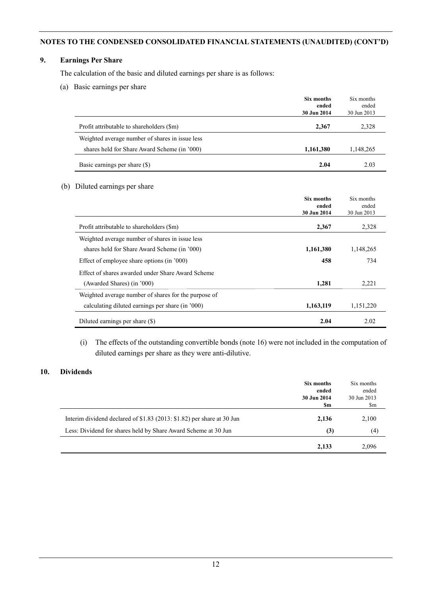## **9. Earnings Per Share**

The calculation of the basic and diluted earnings per share is as follows:

(a) Basic earnings per share

|                                                 | Six months<br>ended<br>30 Jun 2014 | Six months<br>ended<br>30 Jun 2013 |
|-------------------------------------------------|------------------------------------|------------------------------------|
| Profit attributable to shareholders (\$m)       | 2.367                              | 2,328                              |
| Weighted average number of shares in issue less |                                    |                                    |
| shares held for Share Award Scheme (in '000)    | 1,161,380                          | 1,148,265                          |
| Basic earnings per share (\$)                   | 2.04                               | 2.03                               |

#### (b) Diluted earnings per share

|                                                      | Six months           | Six months           |
|------------------------------------------------------|----------------------|----------------------|
|                                                      | ended<br>30 Jun 2014 | ended<br>30 Jun 2013 |
| Profit attributable to shareholders (\$m)            | 2,367                | 2,328                |
| Weighted average number of shares in issue less      |                      |                      |
| shares held for Share Award Scheme (in '000)         | 1,161,380            | 1,148,265            |
| Effect of employee share options (in '000)           | 458                  | 734                  |
| Effect of shares awarded under Share Award Scheme    |                      |                      |
| (Awarded Shares) (in '000)                           | 1,281                | 2,221                |
| Weighted average number of shares for the purpose of |                      |                      |
| calculating diluted earnings per share (in '000)     | 1,163,119            | 1,151,220            |
| Diluted earnings per share (\$)                      | 2.04                 | 2.02                 |

(i) The effects of the outstanding convertible bonds (note 16) were not included in the computation of diluted earnings per share as they were anti-dilutive.

## **10. Dividends**

|                                                                        | Six months<br>ended<br>30 Jun 2014 | Six months<br>ended<br>30 Jun 2013 |
|------------------------------------------------------------------------|------------------------------------|------------------------------------|
|                                                                        | \$m                                | \$m                                |
| Interim dividend declared of \$1.83 (2013: \$1.82) per share at 30 Jun | 2,136                              | 2,100                              |
| Less: Dividend for shares held by Share Award Scheme at 30 Jun         | (3)                                | (4)                                |
|                                                                        | 2,133                              | 2,096                              |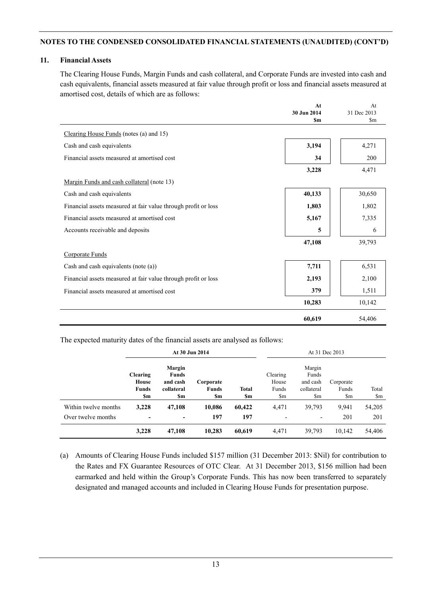#### **11. Financial Assets**

The Clearing House Funds, Margin Funds and cash collateral, and Corporate Funds are invested into cash and cash equivalents, financial assets measured at fair value through profit or loss and financial assets measured at amortised cost, details of which are as follows:

|                                                                | At                 | At                           |
|----------------------------------------------------------------|--------------------|------------------------------|
|                                                                | 30 Jun 2014<br>\$m | 31 Dec 2013<br>$\mathbf{Sm}$ |
|                                                                |                    |                              |
| Clearing House Funds (notes (a) and 15)                        |                    |                              |
| Cash and cash equivalents                                      | 3,194              | 4,271                        |
| Financial assets measured at amortised cost                    | 34                 | 200                          |
|                                                                | 3,228              | 4,471                        |
| Margin Funds and cash collateral (note 13)                     |                    |                              |
| Cash and cash equivalents                                      | 40,133             | 30,650                       |
| Financial assets measured at fair value through profit or loss | 1,803              | 1,802                        |
| Financial assets measured at amortised cost                    | 5,167              | 7,335                        |
| Accounts receivable and deposits                               | 5                  | 6                            |
|                                                                | 47,108             | 39,793                       |
| Corporate Funds                                                |                    |                              |
| Cash and cash equivalents (note (a))                           | 7,711              | 6,531                        |
| Financial assets measured at fair value through profit or loss | 2,193              | 2,100                        |
| Financial assets measured at amortised cost                    | 379                | 1,511                        |
|                                                                | 10,283             | 10,142                       |
|                                                                | 60,619             | 54,406                       |

The expected maturity dates of the financial assets are analysed as follows:

|                      |                                                        |                                                         | At 30 Jun 2014                   |                     | At 31 Dec 2013                                           |                                                                               |                                              |                                 |
|----------------------|--------------------------------------------------------|---------------------------------------------------------|----------------------------------|---------------------|----------------------------------------------------------|-------------------------------------------------------------------------------|----------------------------------------------|---------------------------------|
|                      | <b>Clearing</b><br><b>House</b><br><b>Funds</b><br>\$m | Margin<br><b>Funds</b><br>and cash<br>collateral<br>\$m | Corporate<br><b>Funds</b><br>\$m | <b>Total</b><br>\$m | Clearing<br>House<br>Funds<br>$\mathop{\rm Sm}\nolimits$ | Margin<br>Funds<br>and cash<br>collateral<br>$\mathop{\mathrm {Sm}}\nolimits$ | Corporate<br>Funds<br>$\mathop{\mathrm{Sm}}$ | Total<br>$\mathop{\mathrm{Sm}}$ |
| Within twelve months | 3,228                                                  | 47,108                                                  | 10,086                           | 60,422              | 4,471                                                    | 39,793                                                                        | 9.941                                        | 54,205                          |
| Over twelve months   | $\overline{\phantom{a}}$                               | -                                                       | 197                              | 197                 |                                                          | -                                                                             | 201                                          | 201                             |
|                      | 3,228                                                  | 47,108                                                  | 10,283                           | 60,619              | 4,471                                                    | 39,793                                                                        | 10,142                                       | 54,406                          |

(a) Amounts of Clearing House Funds included \$157 million (31 December 2013: \$Nil) for contribution to the Rates and FX Guarantee Resources of OTC Clear. At 31 December 2013, \$156 million had been earmarked and held within the Group's Corporate Funds. This has now been transferred to separately designated and managed accounts and included in Clearing House Funds for presentation purpose.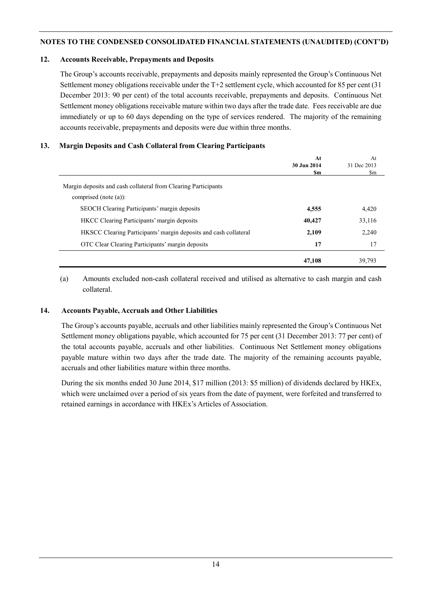#### **12. Accounts Receivable, Prepayments and Deposits**

The Group's accounts receivable, prepayments and deposits mainly represented the Group's Continuous Net Settlement money obligations receivable under the T+2 settlement cycle, which accounted for 85 per cent (31 December 2013: 90 per cent) of the total accounts receivable, prepayments and deposits. Continuous Net Settlement money obligations receivable mature within two days after the trade date. Fees receivable are due immediately or up to 60 days depending on the type of services rendered. The majority of the remaining accounts receivable, prepayments and deposits were due within three months.

#### **13. Margin Deposits and Cash Collateral from Clearing Participants**

|                                                                  | At          | At          |
|------------------------------------------------------------------|-------------|-------------|
|                                                                  | 30 Jun 2014 | 31 Dec 2013 |
|                                                                  | Sm          | \$m         |
| Margin deposits and cash collateral from Clearing Participants   |             |             |
| comprised (note $(a)$ ):                                         |             |             |
| SEOCH Clearing Participants' margin deposits                     | 4,555       | 4,420       |
| <b>HKCC</b> Clearing Participants' margin deposits               | 40,427      | 33,116      |
| HKSCC Clearing Participants' margin deposits and cash collateral | 2,109       | 2,240       |
| OTC Clear Clearing Participants' margin deposits                 | 17          | 17          |
|                                                                  | 47,108      | 39,793      |

(a) Amounts excluded non-cash collateral received and utilised as alternative to cash margin and cash collateral.

#### **14. Accounts Payable, Accruals and Other Liabilities**

The Group's accounts payable, accruals and other liabilities mainly represented the Group's Continuous Net Settlement money obligations payable, which accounted for 75 per cent (31 December 2013: 77 per cent) of the total accounts payable, accruals and other liabilities. Continuous Net Settlement money obligations payable mature within two days after the trade date. The majority of the remaining accounts payable, accruals and other liabilities mature within three months.

During the six months ended 30 June 2014, \$17 million (2013: \$5 million) of dividends declared by HKEx, which were unclaimed over a period of six years from the date of payment, were forfeited and transferred to retained earnings in accordance with HKEx's Articles of Association.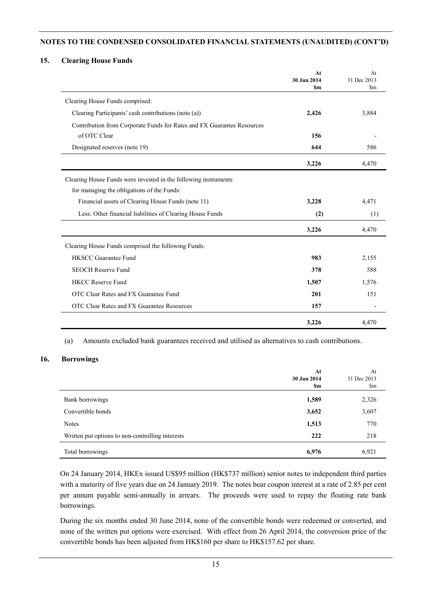#### **15. Clearing House Funds**

|                                                                        | At<br>30 Jun 2014<br><b>Sm</b> | At<br>31 Dec 2013<br>\$m |
|------------------------------------------------------------------------|--------------------------------|--------------------------|
| Clearing House Funds comprised:                                        |                                |                          |
| Clearing Participants' cash contributions (note (a))                   | 2,426                          | 3,884                    |
| Contribution from Corporate Funds for Rates and FX Guarantee Resources |                                |                          |
| of OTC Clear                                                           | 156                            |                          |
| Designated reserves (note 19)                                          | 644                            | 586                      |
|                                                                        | 3,226                          | 4,470                    |
| Clearing House Funds were invested in the following instruments        |                                |                          |
| for managing the obligations of the Funds:                             |                                |                          |
| Financial assets of Clearing House Funds (note 11)                     | 3,228                          | 4,471                    |
| Less: Other financial liabilities of Clearing House Funds              | (2)                            | (1)                      |
|                                                                        | 3,226                          | 4,470                    |
| Clearing House Funds comprised the following Funds:                    |                                |                          |
| <b>HKSCC Guarantee Fund</b>                                            | 983                            | 2,155                    |
| <b>SEOCH Reserve Fund</b>                                              | 378                            | 588                      |
| <b>HKCC Reserve Fund</b>                                               | 1,507                          | 1,576                    |
| OTC Clear Rates and FX Guarantee Fund                                  | 201                            | 151                      |
| OTC Clear Rates and FX Guarantee Resources                             | 157                            |                          |
|                                                                        | 3,226                          | 4,470                    |

(a) Amounts excluded bank guarantees received and utilised as alternatives to cash contributions.

#### **16. Borrowings**

|                                                  | At<br>30 Jun 2014<br>\$m | At<br>31 Dec 2013<br>$\mathbb{S}_{m}$ |
|--------------------------------------------------|--------------------------|---------------------------------------|
| Bank borrowings                                  | 1,589                    | 2,326                                 |
| Convertible bonds                                | 3,652                    | 3,607                                 |
| <b>Notes</b>                                     | 1,513                    | 770                                   |
| Written put options to non-controlling interests | 222                      | 218                                   |
| Total borrowings                                 | 6,976                    | 6,921                                 |

On 24 January 2014, HKEx issued US\$95 million (HK\$737 million) senior notes to independent third parties with a maturity of five years due on 24 January 2019. The notes bear coupon interest at a rate of 2.85 per cent per annum payable semi-annually in arrears. The proceeds were used to repay the floating rate bank borrowings.

During the six months ended 30 June 2014, none of the convertible bonds were redeemed or converted, and none of the written put options were exercised. With effect from 26 April 2014, the conversion price of the convertible bonds has been adjusted from HK\$160 per share to HK\$157.62 per share.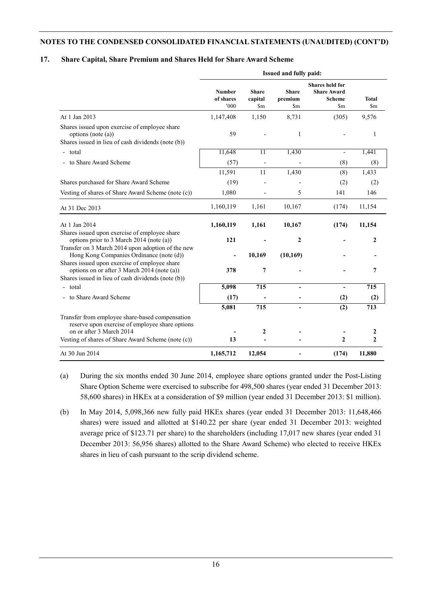#### **17. Share Capital, Share Premium and Shares Held for Share Award Scheme**

|                                                                                                                                                                                      | Issued and fully paid:            |                                |                                          |                                                                      |                          |  |
|--------------------------------------------------------------------------------------------------------------------------------------------------------------------------------------|-----------------------------------|--------------------------------|------------------------------------------|----------------------------------------------------------------------|--------------------------|--|
|                                                                                                                                                                                      | <b>Number</b><br>of shares<br>000 | <b>Share</b><br>capital<br>\$m | <b>Share</b><br>premium<br>$\mathbf{Sm}$ | <b>Shares held for</b><br><b>Share Award</b><br><b>Scheme</b><br>\$m | Total<br>\$ <sub>m</sub> |  |
| At 1 Jan 2013                                                                                                                                                                        | 1,147,408                         | 1,150                          | 8,731                                    | (305)                                                                | 9,576                    |  |
| Shares issued upon exercise of employee share<br>options (note $(a)$ )<br>Shares issued in lieu of cash dividends (note (b))                                                         | 59                                |                                | 1                                        |                                                                      | 1                        |  |
| - total                                                                                                                                                                              | 11,648                            | 11                             | 1,430                                    | $\overline{\phantom{0}}$                                             | 1,441                    |  |
| - to Share Award Scheme                                                                                                                                                              | (57)                              |                                |                                          | (8)                                                                  | (8)                      |  |
|                                                                                                                                                                                      | 11,591                            | 11                             | 1,430                                    | (8)                                                                  | 1,433                    |  |
| Shares purchased for Share Award Scheme                                                                                                                                              | (19)                              |                                |                                          | (2)                                                                  | (2)                      |  |
| Vesting of shares of Share Award Scheme (note (c))                                                                                                                                   | 1,080                             |                                | 5                                        | 141                                                                  | 146                      |  |
| At 31 Dec 2013                                                                                                                                                                       | 1,160,119                         | 1,161                          | 10,167                                   | (174)                                                                | 11,154                   |  |
| At 1 Jan 2014                                                                                                                                                                        | 1,160,119                         | 1,161                          | 10,167                                   | (174)                                                                | 11,154                   |  |
| Shares issued upon exercise of employee share<br>options prior to 3 March 2014 (note (a))<br>Transfer on 3 March 2014 upon adoption of the new                                       | 121                               |                                | 2                                        |                                                                      | $\overline{2}$           |  |
| Hong Kong Companies Ordinance (note (d))                                                                                                                                             |                                   | 10,169                         | (10, 169)                                |                                                                      |                          |  |
| Shares issued upon exercise of employee share<br>options on or after 3 March 2014 (note (a))<br>Shares issued in lieu of cash dividends (note (b))                                   | 378                               | 7                              |                                          |                                                                      | 7                        |  |
| - total                                                                                                                                                                              | 5,098                             | 715                            | $\blacksquare$                           | $\overline{\phantom{a}}$                                             | 715                      |  |
| - to Share Award Scheme                                                                                                                                                              | (17)                              |                                |                                          | (2)                                                                  | (2)                      |  |
|                                                                                                                                                                                      | 5,081                             | 715                            |                                          | (2)                                                                  | 713                      |  |
| Transfer from employee share-based compensation<br>reserve upon exercise of employee share options<br>on or after 3 March 2014<br>Vesting of shares of Share Award Scheme (note (c)) | 13                                | 2                              |                                          | 2                                                                    | 2<br>$\mathbf{2}$        |  |
| At 30 Jun 2014                                                                                                                                                                       | 1,165,712                         | 12,054                         |                                          | (174)                                                                | 11,880                   |  |
|                                                                                                                                                                                      |                                   |                                |                                          |                                                                      |                          |  |

(a) During the six months ended 30 June 2014, employee share options granted under the Post-Listing Share Option Scheme were exercised to subscribe for 498,500 shares (year ended 31 December 2013: 58,600 shares) in HKEx at a consideration of \$9 million (year ended 31 December 2013: \$1 million).

(b) In May 2014, 5,098,366 new fully paid HKEx shares (year ended 31 December 2013: 11,648,466 shares) were issued and allotted at \$140.22 per share (year ended 31 December 2013: weighted average price of \$123.71 per share) to the shareholders (including 17,017 new shares (year ended 31 December 2013: 56,956 shares) allotted to the Share Award Scheme) who elected to receive HKEx shares in lieu of cash pursuant to the scrip dividend scheme.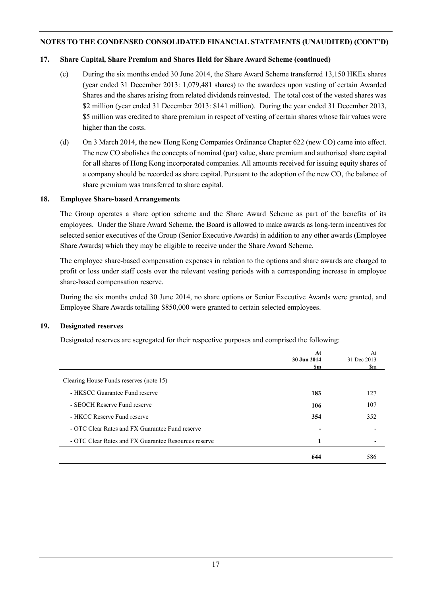#### **17. Share Capital, Share Premium and Shares Held for Share Award Scheme (continued)**

- (c) During the six months ended 30 June 2014, the Share Award Scheme transferred 13,150 HKEx shares (year ended 31 December 2013: 1,079,481 shares) to the awardees upon vesting of certain Awarded Shares and the shares arising from related dividends reinvested. The total cost of the vested shares was \$2 million (year ended 31 December 2013: \$141 million). During the year ended 31 December 2013, \$5 million was credited to share premium in respect of vesting of certain shares whose fair values were higher than the costs.
- (d) On 3 March 2014, the new Hong Kong Companies Ordinance Chapter 622 (new CO) came into effect. The new CO abolishes the concepts of nominal (par) value, share premium and authorised share capital for all shares of Hong Kong incorporated companies. All amounts received for issuing equity shares of a company should be recorded as share capital. Pursuant to the adoption of the new CO, the balance of share premium was transferred to share capital.

#### **18. Employee Share-based Arrangements**

The Group operates a share option scheme and the Share Award Scheme as part of the benefits of its employees. Under the Share Award Scheme, the Board is allowed to make awards as long-term incentives for selected senior executives of the Group (Senior Executive Awards) in addition to any other awards (Employee Share Awards) which they may be eligible to receive under the Share Award Scheme.

The employee share-based compensation expenses in relation to the options and share awards are charged to profit or loss under staff costs over the relevant vesting periods with a corresponding increase in employee share-based compensation reserve.

During the six months ended 30 June 2014, no share options or Senior Executive Awards were granted, and Employee Share Awards totalling \$850,000 were granted to certain selected employees.

#### **19. Designated reserves**

Designated reserves are segregated for their respective purposes and comprised the following:

|                                                      | At<br>30 Jun 2014<br>\$m | At<br>31 Dec 2013<br>\$m |
|------------------------------------------------------|--------------------------|--------------------------|
| Clearing House Funds reserves (note 15)              |                          |                          |
| - HKSCC Guarantee Fund reserve                       | 183                      | 127                      |
| - SEOCH Reserve Fund reserve                         | 106                      | 107                      |
| - HKCC Reserve Fund reserve                          | 354                      | 352                      |
| - OTC Clear Rates and FX Guarantee Fund reserve      |                          |                          |
| - OTC Clear Rates and FX Guarantee Resources reserve | 1                        |                          |
|                                                      | 644                      | 586                      |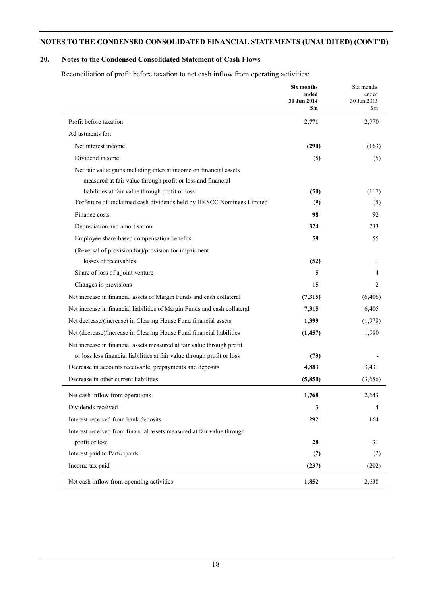## **20. Notes to the Condensed Consolidated Statement of Cash Flows**

Reconciliation of profit before taxation to net cash inflow from operating activities:

|                                                                           | Six months<br>ended<br>30 Jun 2014<br>Sm | Six months<br>ended<br>30 Jun 2013<br>$\mathbf{Sm}$ |
|---------------------------------------------------------------------------|------------------------------------------|-----------------------------------------------------|
| Profit before taxation                                                    | 2,771                                    | 2,770                                               |
| Adjustments for:                                                          |                                          |                                                     |
| Net interest income                                                       | (290)                                    | (163)                                               |
| Dividend income                                                           | (5)                                      | (5)                                                 |
| Net fair value gains including interest income on financial assets        |                                          |                                                     |
| measured at fair value through profit or loss and financial               |                                          |                                                     |
| liabilities at fair value through profit or loss                          | (50)                                     | (117)                                               |
| Forfeiture of unclaimed cash dividends held by HKSCC Nominees Limited     | (9)                                      | (5)                                                 |
| Finance costs                                                             | 98                                       | 92                                                  |
| Depreciation and amortisation                                             | 324                                      | 233                                                 |
| Employee share-based compensation benefits                                | 59                                       | 55                                                  |
| (Reversal of provision for)/provision for impairment                      |                                          |                                                     |
| losses of receivables                                                     | (52)                                     | 1                                                   |
| Share of loss of a joint venture                                          | 5                                        | 4                                                   |
| Changes in provisions                                                     | 15                                       | 2                                                   |
| Net increase in financial assets of Margin Funds and cash collateral      | (7,315)                                  | (6, 406)                                            |
| Net increase in financial liabilities of Margin Funds and cash collateral | 7,315                                    | 6,405                                               |
| Net decrease/(increase) in Clearing House Fund financial assets           | 1,399                                    | (1,978)                                             |
| Net (decrease)/increase in Clearing House Fund financial liabilities      | (1, 457)                                 | 1,980                                               |
| Net increase in financial assets measured at fair value through profit    |                                          |                                                     |
| or loss less financial liabilities at fair value through profit or loss   | (73)                                     |                                                     |
| Decrease in accounts receivable, prepayments and deposits                 | 4,883                                    | 3,431                                               |
| Decrease in other current liabilities                                     | (5, 850)                                 | (3,656)                                             |
| Net cash inflow from operations                                           | 1,768                                    | 2,643                                               |
| Dividends received                                                        | 3                                        | 4                                                   |
| Interest received from bank deposits                                      | 292                                      | 164                                                 |
| Interest received from financial assets measured at fair value through    |                                          |                                                     |
| profit or loss                                                            | 28                                       | 31                                                  |
| Interest paid to Participants                                             | (2)                                      | (2)                                                 |
| Income tax paid                                                           | (237)                                    | (202)                                               |
| Net cash inflow from operating activities                                 | 1,852                                    | 2,638                                               |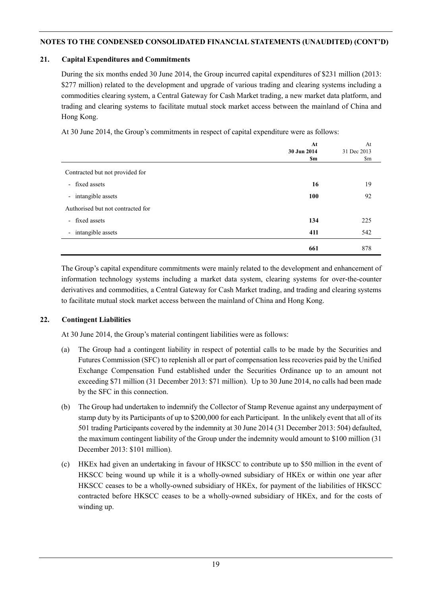#### **21. Capital Expenditures and Commitments**

During the six months ended 30 June 2014, the Group incurred capital expenditures of \$231 million (2013: \$277 million) related to the development and upgrade of various trading and clearing systems including a commodities clearing system, a Central Gateway for Cash Market trading, a new market data platform, and trading and clearing systems to facilitate mutual stock market access between the mainland of China and Hong Kong.

At 30 June 2014, the Group's commitments in respect of capital expenditure were as follows:

|                                   | At          | At          |
|-----------------------------------|-------------|-------------|
|                                   | 30 Jun 2014 | 31 Dec 2013 |
|                                   | \$m         | \$m         |
| Contracted but not provided for   |             |             |
| - fixed assets                    | 16          | 19          |
| - intangible assets               | 100         | 92          |
| Authorised but not contracted for |             |             |
| - fixed assets                    | 134         | 225         |
| - intangible assets               | 411         | 542         |
|                                   | 661         | 878         |

The Group's capital expenditure commitments were mainly related to the development and enhancement of information technology systems including a market data system, clearing systems for over-the-counter derivatives and commodities, a Central Gateway for Cash Market trading, and trading and clearing systems to facilitate mutual stock market access between the mainland of China and Hong Kong.

## **22. Contingent Liabilities**

At 30 June 2014, the Group's material contingent liabilities were as follows:

- (a) The Group had a contingent liability in respect of potential calls to be made by the Securities and Futures Commission (SFC) to replenish all or part of compensation less recoveries paid by the Unified Exchange Compensation Fund established under the Securities Ordinance up to an amount not exceeding \$71 million (31 December 2013: \$71 million). Up to 30 June 2014, no calls had been made by the SFC in this connection.
- (b) The Group had undertaken to indemnify the Collector of Stamp Revenue against any underpayment of stamp duty by its Participants of up to \$200,000 for each Participant. In the unlikely event that all of its 501 trading Participants covered by the indemnity at 30 June 2014 (31 December 2013: 504) defaulted, the maximum contingent liability of the Group under the indemnity would amount to \$100 million (31 December 2013: \$101 million).
- (c) HKEx had given an undertaking in favour of HKSCC to contribute up to \$50 million in the event of HKSCC being wound up while it is a wholly-owned subsidiary of HKEx or within one year after HKSCC ceases to be a wholly-owned subsidiary of HKEx, for payment of the liabilities of HKSCC contracted before HKSCC ceases to be a wholly-owned subsidiary of HKEx, and for the costs of winding up.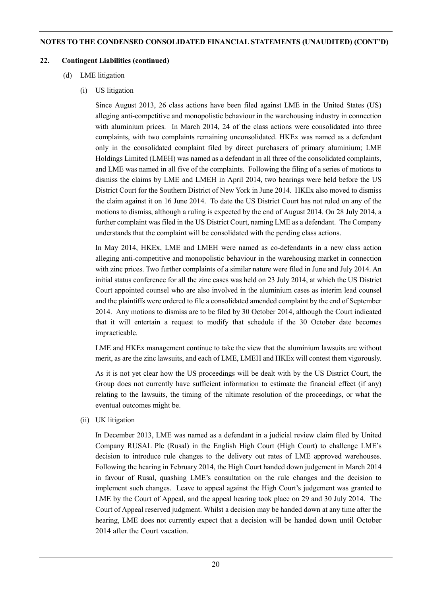#### **22. Contingent Liabilities (continued)**

(d) LME litigation

## (i) US litigation

Since August 2013, 26 class actions have been filed against LME in the United States (US) alleging anti-competitive and monopolistic behaviour in the warehousing industry in connection with aluminium prices. In March 2014, 24 of the class actions were consolidated into three complaints, with two complaints remaining unconsolidated. HKEx was named as a defendant only in the consolidated complaint filed by direct purchasers of primary aluminium; LME Holdings Limited (LMEH) was named as a defendant in all three of the consolidated complaints, and LME was named in all five of the complaints. Following the filing of a series of motions to dismiss the claims by LME and LMEH in April 2014, two hearings were held before the US District Court for the Southern District of New York in June 2014. HKEx also moved to dismiss the claim against it on 16 June 2014. To date the US District Court has not ruled on any of the motions to dismiss, although a ruling is expected by the end of August 2014. On 28 July 2014, a further complaint was filed in the US District Court, naming LME as a defendant. The Company understands that the complaint will be consolidated with the pending class actions.

In May 2014, HKEx, LME and LMEH were named as co-defendants in a new class action alleging anti-competitive and monopolistic behaviour in the warehousing market in connection with zinc prices. Two further complaints of a similar nature were filed in June and July 2014. An initial status conference for all the zinc cases was held on 23 July 2014, at which the US District Court appointed counsel who are also involved in the aluminium cases as interim lead counsel and the plaintiffs were ordered to file a consolidated amended complaint by the end of September 2014. Any motions to dismiss are to be filed by 30 October 2014, although the Court indicated that it will entertain a request to modify that schedule if the 30 October date becomes impracticable.

LME and HKEx management continue to take the view that the aluminium lawsuits are without merit, as are the zinc lawsuits, and each of LME, LMEH and HKEx will contest them vigorously.

As it is not yet clear how the US proceedings will be dealt with by the US District Court, the Group does not currently have sufficient information to estimate the financial effect (if any) relating to the lawsuits, the timing of the ultimate resolution of the proceedings, or what the eventual outcomes might be.

(ii) UK litigation

In December 2013, LME was named as a defendant in a judicial review claim filed by United Company RUSAL Plc (Rusal) in the English High Court (High Court) to challenge LME's decision to introduce rule changes to the delivery out rates of LME approved warehouses. Following the hearing in February 2014, the High Court handed down judgement in March 2014 in favour of Rusal, quashing LME's consultation on the rule changes and the decision to implement such changes. Leave to appeal against the High Court's judgement was granted to LME by the Court of Appeal, and the appeal hearing took place on 29 and 30 July 2014. The Court of Appeal reserved judgment. Whilst a decision may be handed down at any time after the hearing, LME does not currently expect that a decision will be handed down until October 2014 after the Court vacation.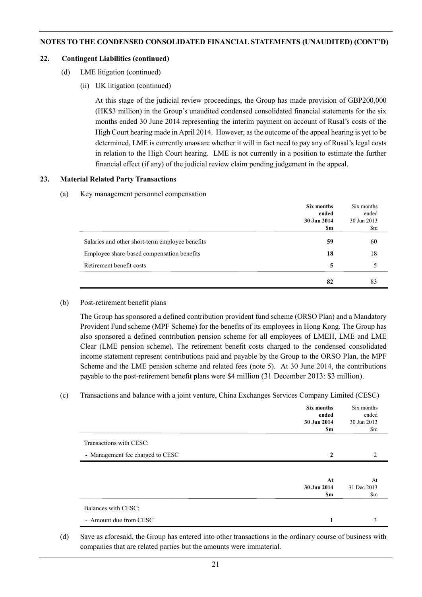#### **22. Contingent Liabilities (continued)**

- (d) LME litigation (continued)
	- (ii) UK litigation (continued)

At this stage of the judicial review proceedings, the Group has made provision of GBP200,000 (HK\$3 million) in the Group's unaudited condensed consolidated financial statements for the six months ended 30 June 2014 representing the interim payment on account of Rusal's costs of the High Court hearing made in April 2014. However, as the outcome of the appeal hearing is yet to be determined, LME is currently unaware whether it will in fact need to pay any of Rusal's legal costs in relation to the High Court hearing. LME is not currently in a position to estimate the further financial effect (if any) of the judicial review claim pending judgement in the appeal.

#### **23. Material Related Party Transactions**

(a) Key management personnel compensation

|                                                 | Six months  | Six months  |
|-------------------------------------------------|-------------|-------------|
|                                                 | ended       | ended       |
|                                                 | 30 Jun 2014 | 30 Jun 2013 |
|                                                 | \$m         | \$m         |
| Salaries and other short-term employee benefits | 59          | 60          |
| Employee share-based compensation benefits      | 18          | 18          |
| Retirement benefit costs                        | 5           |             |
|                                                 | 82          | 83          |

#### (b) Post-retirement benefit plans

The Group has sponsored a defined contribution provident fund scheme (ORSO Plan) and a Mandatory Provident Fund scheme (MPF Scheme) for the benefits of its employees in Hong Kong. The Group has also sponsored a defined contribution pension scheme for all employees of LMEH, LME and LME Clear (LME pension scheme). The retirement benefit costs charged to the condensed consolidated income statement represent contributions paid and payable by the Group to the ORSO Plan, the MPF Scheme and the LME pension scheme and related fees (note 5). At 30 June 2014, the contributions payable to the post-retirement benefit plans were \$4 million (31 December 2013: \$3 million).

#### (c) Transactions and balance with a joint venture, China Exchanges Services Company Limited (CESC)

|                                  | Six months<br>ended<br>30 Jun 2014<br>\$m | Six months<br>ended<br>30 Jun 2013<br>\$m |
|----------------------------------|-------------------------------------------|-------------------------------------------|
| Transactions with CESC:          |                                           |                                           |
| - Management fee charged to CESC | $\mathbf{2}$                              |                                           |
|                                  |                                           |                                           |
|                                  | At<br>30 Jun 2014<br>\$m                  | At<br>31 Dec 2013<br>\$m                  |
| Balances with CESC:              |                                           |                                           |
| - Amount due from CESC           |                                           | 3                                         |

(d) Save as aforesaid, the Group has entered into other transactions in the ordinary course of business with companies that are related parties but the amounts were immaterial.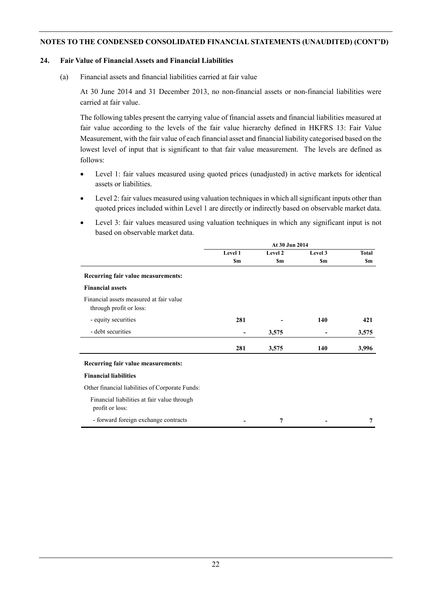#### **24. Fair Value of Financial Assets and Financial Liabilities**

(a) Financial assets and financial liabilities carried at fair value

At 30 June 2014 and 31 December 2013, no non-financial assets or non-financial liabilities were carried at fair value.

The following tables present the carrying value of financial assets and financial liabilities measured at fair value according to the levels of the fair value hierarchy defined in HKFRS 13: Fair Value Measurement, with the fair value of each financial asset and financial liability categorised based on the lowest level of input that is significant to that fair value measurement. The levels are defined as follows:

- Level 1: fair values measured using quoted prices (unadjusted) in active markets for identical assets or liabilities.
- Level 2: fair values measured using valuation techniques in which all significant inputs other than quoted prices included within Level 1 are directly or indirectly based on observable market data.
- Level 3: fair values measured using valuation techniques in which any significant input is not based on observable market data.

|                                                                    | At 30 Jun 2014 |         |           |              |  |
|--------------------------------------------------------------------|----------------|---------|-----------|--------------|--|
|                                                                    | Level 1        | Level 2 | Level 3   | <b>Total</b> |  |
|                                                                    | <b>Sm</b>      | \$m     | <b>Sm</b> | <b>Sm</b>    |  |
| Recurring fair value measurements:                                 |                |         |           |              |  |
| <b>Financial assets</b>                                            |                |         |           |              |  |
| Financial assets measured at fair value<br>through profit or loss: |                |         |           |              |  |
| - equity securities                                                | 281            |         | 140       | 421          |  |
| - debt securities                                                  |                | 3,575   |           | 3,575        |  |
|                                                                    | 281            | 3,575   | 140       | 3,996        |  |
| Recurring fair value measurements:                                 |                |         |           |              |  |
| <b>Financial liabilities</b>                                       |                |         |           |              |  |
| Other financial liabilities of Corporate Funds:                    |                |         |           |              |  |
| Financial liabilities at fair value through<br>profit or loss:     |                |         |           |              |  |
| - forward foreign exchange contracts                               |                | 7       |           | 7            |  |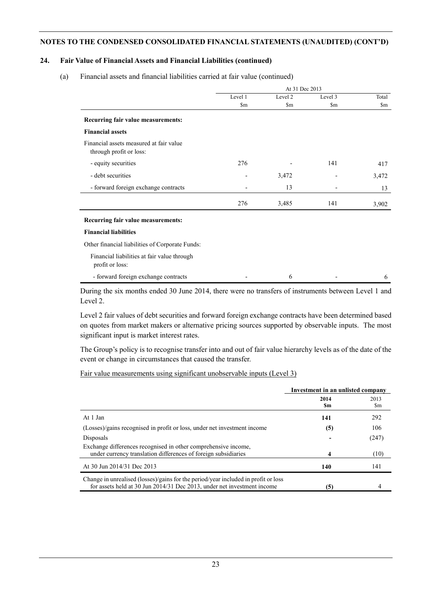#### **24. Fair Value of Financial Assets and Financial Liabilities (continued)**

(a) Financial assets and financial liabilities carried at fair value (continued)

|                                                                    | At 31 Dec 2013 |               |                          |                        |
|--------------------------------------------------------------------|----------------|---------------|--------------------------|------------------------|
|                                                                    | Level 1        | Level 2       | Level 3                  | Total                  |
|                                                                    | $\mathbf{Sm}$  | $\mathbf{Sm}$ | $\mathbf{Sm}$            | $\mathop{\mathrm{Sm}}$ |
| Recurring fair value measurements:                                 |                |               |                          |                        |
| <b>Financial assets</b>                                            |                |               |                          |                        |
| Financial assets measured at fair value<br>through profit or loss: |                |               |                          |                        |
| - equity securities                                                | 276            |               | 141                      | 417                    |
| - debt securities                                                  |                | 3,472         | $\overline{\phantom{a}}$ | 3,472                  |
| - forward foreign exchange contracts                               |                | 13            |                          | 13                     |
|                                                                    | 276            | 3,485         | 141                      | 3,902                  |
| Recurring fair value measurements:                                 |                |               |                          |                        |
| <b>Financial liabilities</b>                                       |                |               |                          |                        |
| Other financial liabilities of Corporate Funds:                    |                |               |                          |                        |
| Financial liabilities at fair value through<br>profit or loss:     |                |               |                          |                        |
| - forward foreign exchange contracts                               |                | 6             |                          | 6                      |

During the six months ended 30 June 2014, there were no transfers of instruments between Level 1 and Level 2.

Level 2 fair values of debt securities and forward foreign exchange contracts have been determined based on quotes from market makers or alternative pricing sources supported by observable inputs. The most significant input is market interest rates.

The Group's policy is to recognise transfer into and out of fair value hierarchy levels as of the date of the event or change in circumstances that caused the transfer.

#### Fair value measurements using significant unobservable inputs (Level 3)

|                                                                                                                                                               | Investment in an unlisted company |             |  |
|---------------------------------------------------------------------------------------------------------------------------------------------------------------|-----------------------------------|-------------|--|
|                                                                                                                                                               | 2014<br>Sm                        | 2013<br>\$m |  |
| At 1 Jan                                                                                                                                                      | 141                               | 292         |  |
| (Losses)/gains recognised in profit or loss, under net investment income                                                                                      | (5)                               | 106         |  |
| Disposals                                                                                                                                                     |                                   | (247)       |  |
| Exchange differences recognised in other comprehensive income,<br>under currency translation differences of foreign subsidiaries                              | 4                                 | (10)        |  |
| At 30 Jun 2014/31 Dec 2013                                                                                                                                    | 140                               | 141         |  |
| Change in unrealised (losses)/gains for the period/year included in profit or loss<br>for assets held at 30 Jun 2014/31 Dec 2013, under net investment income | (5)                               |             |  |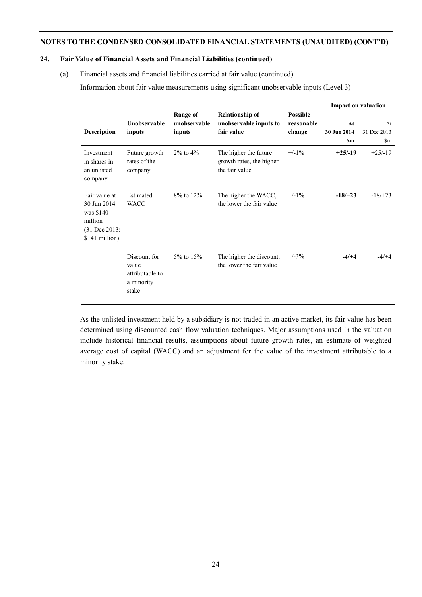#### **24. Fair Value of Financial Assets and Financial Liabilities (continued)**

(a) Financial assets and financial liabilities carried at fair value (continued)

Information about fair value measurements using significant unobservable inputs (Level 3)

|                                                                                           |                                                                 |                                           |                                                                     |                                         | <b>Impact on valuation</b>     |                                      |
|-------------------------------------------------------------------------------------------|-----------------------------------------------------------------|-------------------------------------------|---------------------------------------------------------------------|-----------------------------------------|--------------------------------|--------------------------------------|
| <b>Description</b>                                                                        | Unobservable<br>inputs                                          | <b>Range of</b><br>unobservable<br>inputs | <b>Relationship of</b><br>unobservable inputs to<br>fair value      | <b>Possible</b><br>reasonable<br>change | At<br>30 Jun 2014<br><b>Sm</b> | At<br>31 Dec 2013<br>$\mathbf{\S}$ m |
| Investment<br>in shares in<br>an unlisted<br>company                                      | Future growth<br>rates of the<br>company                        | $2\%$ to $4\%$                            | The higher the future<br>growth rates, the higher<br>the fair value | $+/-1\%$                                | $+25/19$                       | $+25/19$                             |
| Fair value at<br>30 Jun 2014<br>was \$140<br>million<br>$(31$ Dec 2013:<br>\$141 million) | Estimated<br><b>WACC</b>                                        | $8\%$ to $12\%$                           | The higher the WACC,<br>the lower the fair value                    | $+/-1\%$                                | $-18/+23$                      | $-18/+23$                            |
|                                                                                           | Discount for<br>value<br>attributable to<br>a minority<br>stake | $5\%$ to $15\%$                           | The higher the discount,<br>the lower the fair value                | $+/-3\%$                                | $-4/+4$                        | $-4/+4$                              |

As the unlisted investment held by a subsidiary is not traded in an active market, its fair value has been determined using discounted cash flow valuation techniques. Major assumptions used in the valuation include historical financial results, assumptions about future growth rates, an estimate of weighted average cost of capital (WACC) and an adjustment for the value of the investment attributable to a minority stake.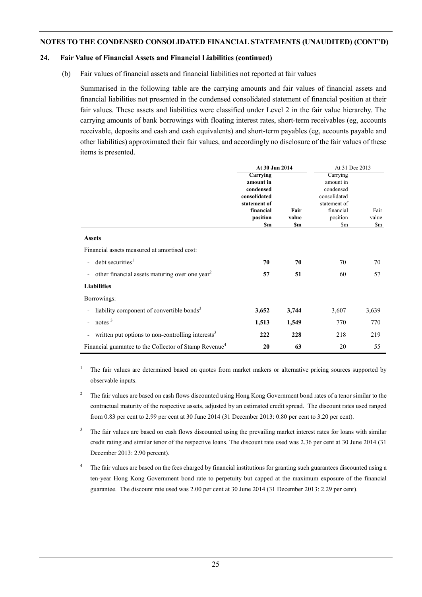#### **24. Fair Value of Financial Assets and Financial Liabilities (continued)**

(b) Fair values of financial assets and financial liabilities not reported at fair values

Summarised in the following table are the carrying amounts and fair values of financial assets and financial liabilities not presented in the condensed consolidated statement of financial position at their fair values. These assets and liabilities were classified under Level 2 in the fair value hierarchy. The carrying amounts of bank borrowings with floating interest rates, short-term receivables (eg, accounts receivable, deposits and cash and cash equivalents) and short-term payables (eg, accounts payable and other liabilities) approximated their fair values, and accordingly no disclosure of the fair values of these items is presented.

|                                                                                           | At 30 Jun 2014                                                                                     |                      | At 31 Dec 2013                                                                                     |                      |
|-------------------------------------------------------------------------------------------|----------------------------------------------------------------------------------------------------|----------------------|----------------------------------------------------------------------------------------------------|----------------------|
|                                                                                           | Carrying<br>amount in<br>condensed<br>consolidated<br>statement of<br>financial<br>position<br>\$m | Fair<br>value<br>\$m | Carrying<br>amount in<br>condensed<br>consolidated<br>statement of<br>financial<br>position<br>\$m | Fair<br>value<br>\$m |
| <b>Assets</b>                                                                             |                                                                                                    |                      |                                                                                                    |                      |
| Financial assets measured at amortised cost:                                              |                                                                                                    |                      |                                                                                                    |                      |
| - debt securities <sup>1</sup>                                                            | 70                                                                                                 | 70                   | 70                                                                                                 | 70                   |
| other financial assets maturing over one year <sup>2</sup><br>$\overline{\phantom{a}}$    | 57                                                                                                 | 51                   | 60                                                                                                 | 57                   |
| <b>Liabilities</b>                                                                        |                                                                                                    |                      |                                                                                                    |                      |
| Borrowings:                                                                               |                                                                                                    |                      |                                                                                                    |                      |
| liability component of convertible bonds <sup>3</sup><br>$\overline{\phantom{a}}$         | 3,652                                                                                              | 3,744                | 3,607                                                                                              | 3,639                |
| notes $3$<br>$\overline{\phantom{a}}$                                                     | 1,513                                                                                              | 1,549                | 770                                                                                                | 770                  |
| written put options to non-controlling interests <sup>3</sup><br>$\overline{\phantom{a}}$ | 222                                                                                                | 228                  | 218                                                                                                | 219                  |
| Financial guarantee to the Collector of Stamp Revenue <sup>4</sup>                        | 20                                                                                                 | 63                   | 20                                                                                                 | 55                   |

<sup>1</sup> The fair values are determined based on quotes from market makers or alternative pricing sources supported by observable inputs.

- <sup>2</sup> The fair values are based on cash flows discounted using Hong Kong Government bond rates of a tenor similar to the contractual maturity of the respective assets, adjusted by an estimated credit spread. The discount rates used ranged from 0.83 per cent to 2.99 per cent at 30 June 2014 (31 December 2013: 0.80 per cent to 3.20 per cent).
- <sup>3</sup> The fair values are based on cash flows discounted using the prevailing market interest rates for loans with similar credit rating and similar tenor of the respective loans. The discount rate used was 2.36 per cent at 30 June 2014 (31 December 2013: 2.90 percent).
- <sup>4</sup> The fair values are based on the fees charged by financial institutions for granting such guarantees discounted using a ten-year Hong Kong Government bond rate to perpetuity but capped at the maximum exposure of the financial guarantee. The discount rate used was 2.00 per cent at 30 June 2014 (31 December 2013: 2.29 per cent).